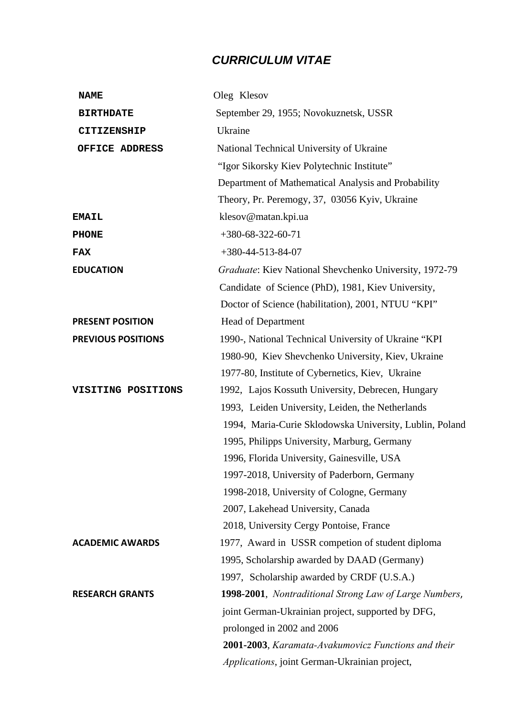## *CURRICULUM VITAE*

| <b>NAME</b>               | Oleg Klesov                                             |
|---------------------------|---------------------------------------------------------|
| <b>BIRTHDATE</b>          | September 29, 1955; Novokuznetsk, USSR                  |
| CITIZENSHIP               | Ukraine                                                 |
| OFFICE ADDRESS            | National Technical University of Ukraine                |
|                           | "Igor Sikorsky Kiev Polytechnic Institute"              |
|                           | Department of Mathematical Analysis and Probability     |
|                           | Theory, Pr. Peremogy, 37, 03056 Kyiv, Ukraine           |
| <b>EMAIL</b>              | klesov@matan.kpi.ua                                     |
| <b>PHONE</b>              | $+380-68-322-60-71$                                     |
| <b>FAX</b>                | $+380-44-513-84-07$                                     |
| <b>EDUCATION</b>          | Graduate: Kiev National Shevchenko University, 1972-79  |
|                           | Candidate of Science (PhD), 1981, Kiev University,      |
|                           | Doctor of Science (habilitation), 2001, NTUU "KPI"      |
| <b>PRESENT POSITION</b>   | <b>Head of Department</b>                               |
| <b>PREVIOUS POSITIONS</b> | 1990-, National Technical University of Ukraine "KPI    |
|                           | 1980-90, Kiev Shevchenko University, Kiev, Ukraine      |
|                           | 1977-80, Institute of Cybernetics, Kiev, Ukraine        |
| VISITING POSITIONS        | 1992, Lajos Kossuth University, Debrecen, Hungary       |
|                           | 1993, Leiden University, Leiden, the Netherlands        |
|                           | 1994, Maria-Curie Sklodowska University, Lublin, Poland |
|                           | 1995, Philipps University, Marburg, Germany             |
|                           | 1996, Florida University, Gainesville, USA              |
|                           | 1997-2018, University of Paderborn, Germany             |
|                           | 1998-2018, University of Cologne, Germany               |
|                           | 2007, Lakehead University, Canada                       |
|                           | 2018, University Cergy Pontoise, France                 |
| <b>ACADEMIC AWARDS</b>    | 1977, Award in USSR competion of student diploma        |
|                           | 1995, Scholarship awarded by DAAD (Germany)             |
|                           | 1997, Scholarship awarded by CRDF (U.S.A.)              |
| <b>RESEARCH GRANTS</b>    | 1998-2001, Nontraditional Strong Law of Large Numbers,  |
|                           | joint German-Ukrainian project, supported by DFG,       |
|                           | prolonged in 2002 and 2006                              |
|                           | 2001-2003, Karamata-Avakumovicz Functions and their     |
|                           | Applications, joint German-Ukrainian project,           |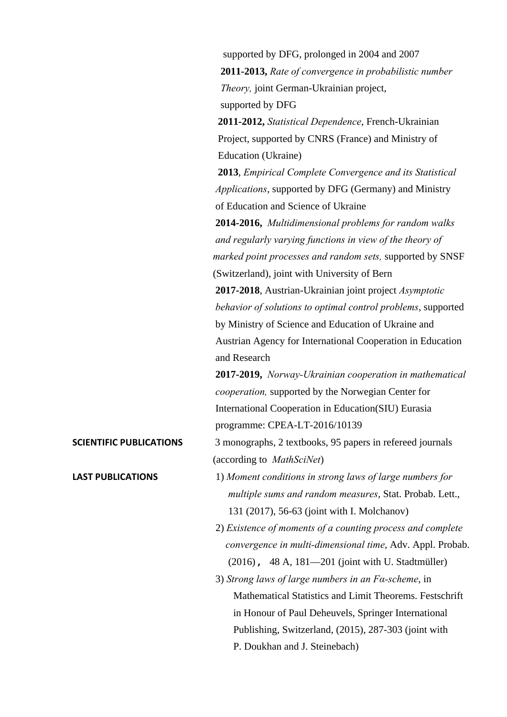|                                | supported by DFG, prolonged in 2004 and 2007                  |
|--------------------------------|---------------------------------------------------------------|
|                                | 2011-2013, Rate of convergence in probabilistic number        |
|                                | Theory, joint German-Ukrainian project,                       |
|                                | supported by DFG                                              |
|                                | 2011-2012, Statistical Dependence, French-Ukrainian           |
|                                | Project, supported by CNRS (France) and Ministry of           |
|                                | Education (Ukraine)                                           |
|                                | 2013, Empirical Complete Convergence and its Statistical      |
|                                | <i>Applications</i> , supported by DFG (Germany) and Ministry |
|                                | of Education and Science of Ukraine                           |
|                                | 2014-2016, Multidimensional problems for random walks         |
|                                | and regularly varying functions in view of the theory of      |
|                                | marked point processes and random sets, supported by SNSF     |
|                                | (Switzerland), joint with University of Bern                  |
|                                | 2017-2018, Austrian-Ukrainian joint project Asymptotic        |
|                                | behavior of solutions to optimal control problems, supported  |
|                                | by Ministry of Science and Education of Ukraine and           |
|                                | Austrian Agency for International Cooperation in Education    |
|                                | and Research                                                  |
|                                | 2017-2019, Norway-Ukrainian cooperation in mathematical       |
|                                | cooperation, supported by the Norwegian Center for            |
|                                | International Cooperation in Education(SIU) Eurasia           |
|                                | programme: CPEA-LT-2016/10139                                 |
| <b>SCIENTIFIC PUBLICATIONS</b> | 3 monographs, 2 textbooks, 95 papers in refereed journals     |
|                                | (according to <i>MathSciNet</i> )                             |
| <b>LAST PUBLICATIONS</b>       | 1) Moment conditions in strong laws of large numbers for      |
|                                | multiple sums and random measures, Stat. Probab. Lett.,       |
|                                | 131 (2017), 56-63 (joint with I. Molchanov)                   |
|                                | 2) Existence of moments of a counting process and complete    |
|                                | convergence in multi-dimensional time, Adv. Appl. Probab.     |
|                                | (2016), 48 A, 181-201 (joint with U. Stadtmüller)             |
|                                | 3) Strong laws of large numbers in an $Fa$ -scheme, in        |
|                                | Mathematical Statistics and Limit Theorems. Festschrift       |
|                                | in Honour of Paul Deheuvels, Springer International           |
|                                | Publishing, Switzerland, (2015), 287-303 (joint with          |

P. Doukhan and J. Steinebach)